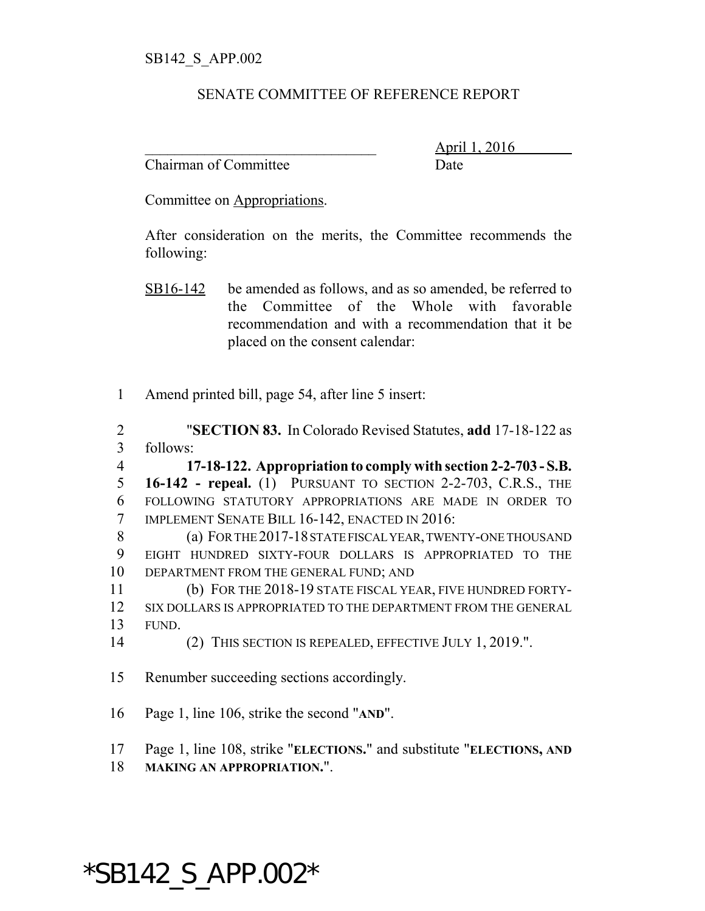## SENATE COMMITTEE OF REFERENCE REPORT

Chairman of Committee Date

\_\_\_\_\_\_\_\_\_\_\_\_\_\_\_\_\_\_\_\_\_\_\_\_\_\_\_\_\_\_\_ April 1, 2016

Committee on Appropriations.

After consideration on the merits, the Committee recommends the following:

- SB16-142 be amended as follows, and as so amended, be referred to the Committee of the Whole with favorable recommendation and with a recommendation that it be placed on the consent calendar:
- 1 Amend printed bill, page 54, after line 5 insert:

2 "**SECTION 83.** In Colorado Revised Statutes, **add** 17-18-122 as 3 follows:

 **17-18-122. Appropriation to comply with section 2-2-703 - S.B. 16-142 - repeal.** (1) PURSUANT TO SECTION 2-2-703, C.R.S., THE FOLLOWING STATUTORY APPROPRIATIONS ARE MADE IN ORDER TO IMPLEMENT SENATE BILL 16-142, ENACTED IN 2016:

8 (a) FOR THE 2017-18 STATE FISCAL YEAR, TWENTY-ONE THOUSAND 9 EIGHT HUNDRED SIXTY-FOUR DOLLARS IS APPROPRIATED TO THE 10 DEPARTMENT FROM THE GENERAL FUND; AND

11 (b) FOR THE 2018-19 STATE FISCAL YEAR, FIVE HUNDRED FORTY-12 SIX DOLLARS IS APPROPRIATED TO THE DEPARTMENT FROM THE GENERAL 13 FUND.

- 14 (2) THIS SECTION IS REPEALED, EFFECTIVE JULY 1, 2019.".
- 15 Renumber succeeding sections accordingly.
- 16 Page 1, line 106, strike the second "**AND**".
- 17 Page 1, line 108, strike "**ELECTIONS.**" and substitute "**ELECTIONS, AND**
- 18 **MAKING AN APPROPRIATION.**".

## \*SB142\_S\_APP.002\*